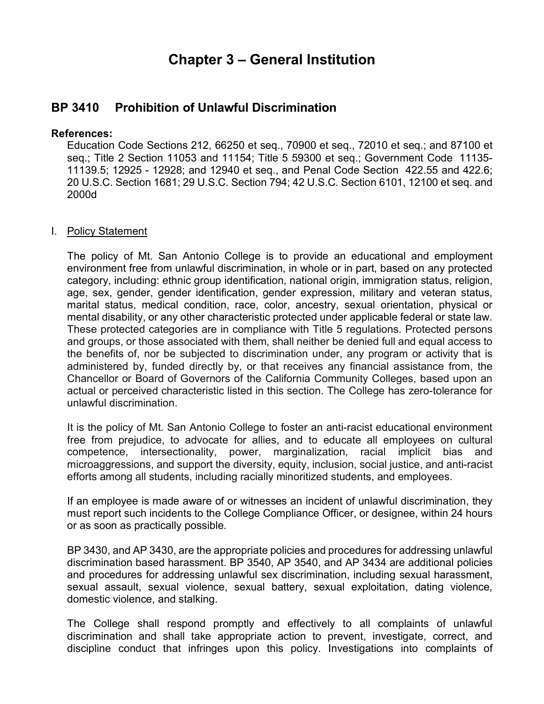## **Chapter 3 – General Institution**

## **BP 3410 Prohibition of Unlawful Discrimination**

## **References:**

Education Code Sections 212, 66250 et seq., 70900 et seq., 72010 et seq.; and 87100 et seq.; Title 2 Section 11053 and 11154; Title 5 59300 et seq.; Government Code 11135- 11139.5; 12925 - 12928; and 12940 et seq., and Penal Code Section 422.55 and 422.6; 20 U.S.C. Section 1681; 29 U.S.C. Section 794; 42 U.S.C. Section 6101, 12100 et seq. and 2000d

## I. Policy Statement

 mental disability, or any other characteristic protected under applicable federal or state law. The policy of Mt. San Antonio College is to provide an educational and employment environment free from unlawful discrimination, in whole or in part, based on any protected category, including: ethnic group identification, national origin, immigration status, religion, age, sex, gender, gender identification, gender expression, military and veteran status, marital status, medical condition, race, color, ancestry, sexual orientation, physical or These protected categories are in compliance with Title 5 regulations. Protected persons and groups, or those associated with them, shall neither be denied full and equal access to the benefits of, nor be subjected to discrimination under, any program or activity that is administered by, funded directly by, or that receives any financial assistance from, the Chancellor or Board of Governors of the California Community Colleges, based upon an actual or perceived characteristic listed in this section. The College has zero-tolerance for unlawful discrimination.

It is the policy of Mt. San Antonio College to foster an anti-racist educational environment free from prejudice, to advocate for allies, and to educate all employees on cultural competence, intersectionality, power, marginalization, racial implicit bias and microaggressions, and support the diversity, equity, inclusion, social justice, and anti-racist efforts among all students, including racially minoritized students, and employees.

If an employee is made aware of or witnesses an incident of unlawful discrimination, they must report such incidents to the College Compliance Officer, or designee, within 24 hours or as soon as practically possible.

BP 3430, and AP 3430, are the appropriate policies and procedures for addressing unlawful discrimination based harassment. BP 3540, AP 3540, and AP 3434 are additional policies and procedures for addressing unlawful sex discrimination, including sexual harassment, sexual assault, sexual violence, sexual battery, sexual exploitation, dating violence, domestic violence, and stalking.

The College shall respond promptly and effectively to all complaints of unlawful discrimination and shall take appropriate action to prevent, investigate, correct, and discipline conduct that infringes upon this policy. Investigations into complaints of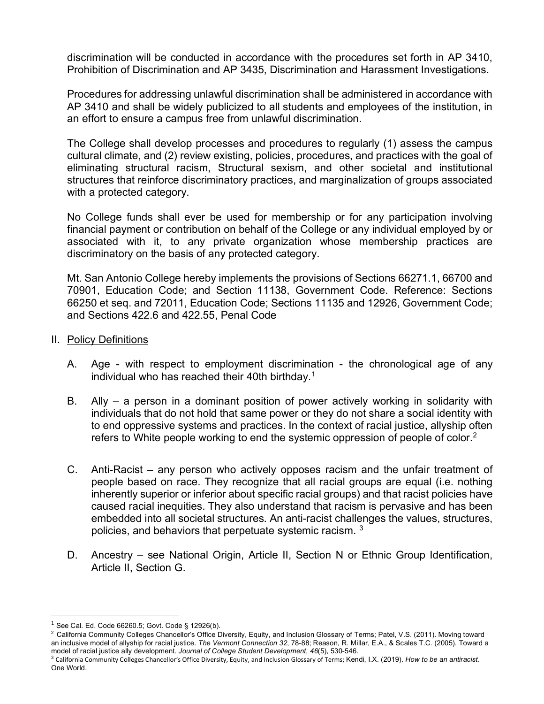discrimination will be conducted in accordance with the procedures set forth in AP 3410, Prohibition of Discrimination and AP 3435, Discrimination and Harassment Investigations.

Procedures for addressing unlawful discrimination shall be administered in accordance with AP 3410 and shall be widely publicized to all students and employees of the institution, in an effort to ensure a campus free from unlawful discrimination.

 cultural climate, and (2) review existing, policies, procedures, and practices with the goal of The College shall develop processes and procedures to regularly (1) assess the campus eliminating structural racism, Structural sexism, and other societal and institutional structures that reinforce discriminatory practices, and marginalization of groups associated with a protected category.

No College funds shall ever be used for membership or for any participation involving financial payment or contribution on behalf of the College or any individual employed by or associated with it, to any private organization whose membership practices are discriminatory on the basis of any protected category.

and Sections 422.6 and 422.55, Penal Code<br>II. <u>Policy Definitions</u> Mt. San Antonio College hereby implements the provisions of Sections 66271.1, 66700 and 70901, Education Code; and Section 11138, Government Code. Reference: Sections 66250 et seq. and 72011, Education Code; Sections 11135 and 12926, Government Code;

- - A. Age with respect to employment discrimination the chronological age of any individual who has reached their 40th birthday.<sup>[1](#page-1-0)</sup>
	- B. Ally a person in a dominant position of power actively working in solidarity with individuals that do not hold that same power or they do not share a social identity with to end oppressive systems and practices. In the context of racial justice, allyship often refers to White people working to end the systemic oppression of people of color.<sup>2</sup>
	- C. Anti-Racist any person who actively opposes racism and the unfair treatment of people based on race. They recognize that all racial groups are equal (i.e. nothing inherently superior or inferior about specific racial groups) and that racist policies have caused racial inequities. They also understand that racism is pervasive and has been embedded into all societal structures. An anti-racist challenges the values, structures, policies, and behaviors that perpetuate systemic racism. [3](#page-1-2)
	- D. Ancestry see National Origin, Article II, Section N or Ethnic Group Identification, Article II, Section G.

<span id="page-1-1"></span><span id="page-1-0"></span> an inclusive model of allyship for racial justice. *The Vermont Connection 32*, 78-88; Reason, R. Millar, E.A., & Scales T.C. (2005). Toward a model of racial justice ally development. Journal of College Student Development, 46(5), 530-546.  $^1$  See Cal. Ed. Code 66260.5; Govt. Code § 12926(b).<br><sup>2</sup> California Community Colleges Chancellor's Office Diversity, Equity, and Inclusion Glossary of Terms; Patel, V.S. (2011). Moving toward

<span id="page-1-2"></span>model of racial justice ally development. *Journal of College Student Development, 46*(5), 530-546.<br><sup>3</sup> California Community Colleges Chancellor's Office Diversity, Equity, and Inclusion Glossary of Terms; Kendi, I.X. (201 One World.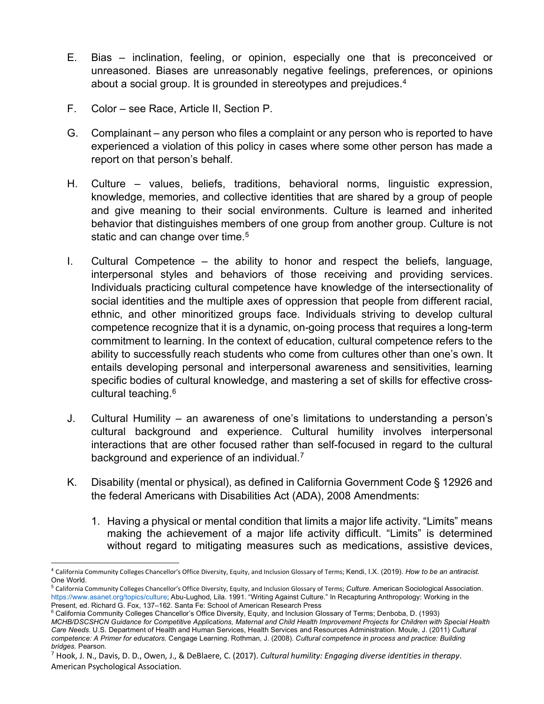- E. Bias inclination, feeling, or opinion, especially one that is preconceived or unreasoned. Biases are unreasonably negative feelings, preferences, or opinions about a social group. It is grounded in stereotypes and prejudices.<sup>4</sup>
- F. Color see Race, Article II, Section P.
- G. Complainant any person who files a complaint or any person who is reported to have experienced a violation of this policy in cases where some other person has made a report on that person's behalf.
- knowledge, memories, and collective identities that are shared by a group of people H. Culture – values, beliefs, traditions, behavioral norms, linguistic expression, and give meaning to their social environments. Culture is learned and inherited behavior that distinguishes members of one group from another group. Culture is not static and can change over time.<sup>[5](#page-2-1)</sup>
- I. Cultural Competence the ability to honor and respect the beliefs, language, interpersonal styles and behaviors of those receiving and providing services. Individuals practicing cultural competence have knowledge of the intersectionality of social identities and the multiple axes of oppression that people from different racial, ethnic, and other minoritized groups face. Individuals striving to develop cultural competence recognize that it is a dynamic, on-going process that requires a long-term commitment to learning. In the context of education, cultural competence refers to the ability to successfully reach students who come from cultures other than one's own. It entails developing personal and interpersonal awareness and sensitivities, learning specific bodies of cultural knowledge, and mastering a set of skills for effective cross-cultural teaching.<sup>[6](#page-2-2)</sup>
- background and experience of an individual. $7$ J. Cultural Humility – an awareness of one's limitations to understanding a person's cultural background and experience. Cultural humility involves interpersonal interactions that are other focused rather than self-focused in regard to the cultural
- K. Disability (mental or physical), as defined in California Government Code § 12926 and the federal Americans with Disabilities Act (ADA), 2008 Amendments:
	- 1. Having a physical or mental condition that limits a major life activity. "Limits" means making the achievement of a major life activity difficult. "Limits" is determined without regard to mitigating measures such as medications, assistive devices,

<span id="page-2-0"></span> <sup>4</sup>California Community Colleges Chancellor's Office Diversity, Equity, and Inclusion Glossary of Terms; Kendi, I.X. (2019). *How to be an antiracist.*  One World.

<span id="page-2-1"></span> <sup>5</sup>California Community Colleges Chancellor's Office Diversity, Equity, and Inclusion Glossary of Terms; *Culture.* American Sociological Association. <https://www.asanet.org/topics/culture>; Abu-Lughod, Lila. 1991. "Writing Against Culture." In Recapturing Anthropology: Working in the

<span id="page-2-2"></span> *competence: A Primer for educators.* Cengage Learning. Rothman, J. (2008). *Cultural competence in process and practice: Building bridges.* Pearson.  $6$  California Community Colleges Chancellor's Office Diversity, Equity, and Inclusion Glossary of Terms; Denboba, D. (1993) *MCHB/DSCSHCN Guidance for Competitive Applications, Maternal and Child Health Improvement Projects for Children with Special Health Care Needs.* U.S. Department of Health and Human Services, Health Services and Resources Administration. Moule, J. (2011) *Cultural* 

<span id="page-2-3"></span> 7 Hook, J. N., Davis, D. D., Owen, J., & DeBlaere, C. (2017). *Cultural humility: Engaging diverse identities in therapy*. American Psychological Association.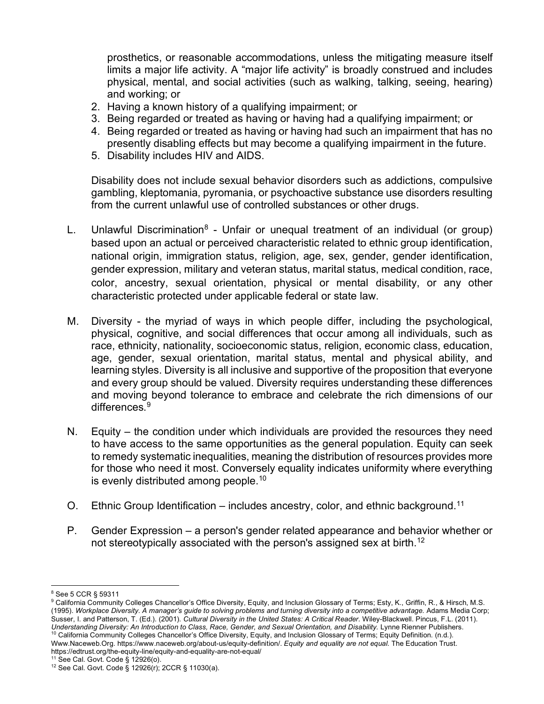prosthetics, or reasonable accommodations, unless the mitigating measure itself limits a major life activity. A "major life activity" is broadly construed and includes physical, mental, and social activities (such as walking, talking, seeing, hearing) and working; or

- 2. Having a known history of a qualifying impairment; or
- 3. Being regarded or treated as having or having had a qualifying impairment; or
- 4. Being regarded or treated as having or having had such an impairment that has no presently disabling effects but may become a qualifying impairment in the future.
- 5. Disability includes HIV and AIDS.

 gambling, kleptomania, pyromania, or psychoactive substance use disorders resulting Disability does not include sexual behavior disorders such as addictions, compulsive from the current unlawful use of controlled substances or other drugs.

- L. Unlawful Discrimination<sup>8</sup> Unfair or unequal treatment of an individual (or group) gender expression, military and veteran status, marital status, medical condition, race, based upon an actual or perceived characteristic related to ethnic group identification, national origin, immigration status, religion, age, sex, gender, gender identification, color, ancestry, sexual orientation, physical or mental disability, or any other characteristic protected under applicable federal or state law.
- M. Diversity the myriad of ways in which people differ, including the psychological, physical, cognitive, and social differences that occur among all individuals, such as race, ethnicity, nationality, socioeconomic status, religion, economic class, education, age, gender, sexual orientation, marital status, mental and physical ability, and learning styles. Diversity is all inclusive and supportive of the proposition that everyone and every group should be valued. Diversity requires understanding these differences and moving beyond tolerance to embrace and celebrate the rich dimensions of our differences.<sup>9</sup>
- N. Equity the condition under which individuals are provided the resources they need to have access to the same opportunities as the general population. Equity can seek to remedy systematic inequalities, meaning the distribution of resources provides more for those who need it most. Conversely equality indicates uniformity where everything is evenly distributed among [people.](https://people.10)[10](#page-3-2)
- O. Ethnic Group Identification includes ancestry, color, and ethnic [background.](https://background.11)<sup>11</sup>
- P. Gender Expression a person's gender related appearance and behavior whether or not stereotypically associated with the person's assigned sex at [birth.](https://birth.12)<sup>[12](#page-3-4)</sup>

<span id="page-3-2"></span>[Www.Naceweb.Org.](Www.Naceweb.Org)<https://www.naceweb.org/about-us/equity-definition>/. *Equity and equality are not equal.* The Education Trust. <https://edtrust.org/the-equity-line/equity-and-equality-are-not-equal>/<br><sup>11</sup> See Cal. Govt. Code § 12926(o).

<span id="page-3-0"></span><sup>8</sup> See 5 CCR § 59311

<span id="page-3-1"></span> $^9$  California Community Colleges Chancellor's Office Diversity, Equity, and Inclusion Glossary of Terms; Esty, K., Griffin, R., & Hirsch, M.S.  (1995). *Workplace Diversity. A manager's guide to solving problems and turning diversity into a competitive advantage.* Adams Media Corp; Susser, I. and Patterson, T. (Ed.). (2001). *Cultural Diversity in the United States: A Critical Reader.* Wiley-Blackwell. Pincus, F.L. (2011). Understanding Diversity: An Introduction to Class, Race, Gender, and Sexual Orientation, and Disability. Lynne Rienner Publishers.<br><sup>10</sup> California Community Colleges Chancellor's Office Diversity, Equity, and Inclusion Glo

<span id="page-3-4"></span><span id="page-3-3"></span> $12$  See Cal. Govt. Code § 12926(r); 2CCR § 11030(a).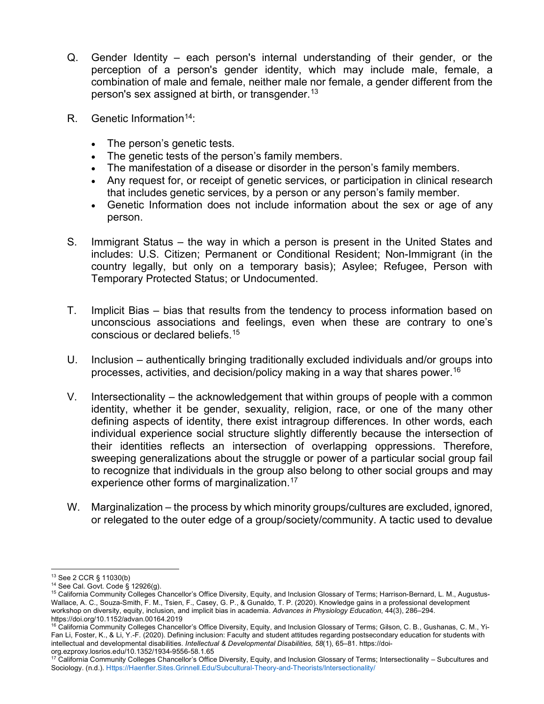- Q. Gender Identity each person's internal understanding of their gender, or the person's sex assigned at birth, or transgender.<sup>1[3](#page-4-0)</sup> perception of a person's gender identity, which may include male, female, a combination of male and female, neither male nor female, a gender different from the
- R. Genetic Information<sup>[14](#page-4-1)</sup>:
	- The person's genetic tests.
	- The genetic tests of the person's family members.
	- The manifestation of a disease or disorder in the person's family members.
	- • Any request for, or receipt of genetic services, or participation in clinical research that includes genetic services, by a person or any person's family member.
	- Genetic Information does not include information about the sex or age of any person.
- includes: U.S. Citizen; Permanent or Conditional Resident; Non-Immigrant (in the S. Immigrant Status – the way in which a person is present in the United States and country legally, but only on a temporary basis); Asylee; Refugee, Person with Temporary Protected Status; or Undocumented.
- T. Implicit Bias bias that results from the tendency to process information based on unconscious associations and feelings, even when these are contrary to one's conscious or declared [beliefs.](https://beliefs.15)[15](#page-4-2)
- U. Inclusion authentically bringing traditionally excluded individuals and/or groups into processes, activities, and decision/policy making in a way that shares [power.](https://power.16)[16](#page-4-3)
- V. Intersectionality the acknowledgement that within groups of people with a common their identities reflects an intersection of overlapping oppressions. Therefore, identity, whether it be gender, sexuality, religion, race, or one of the many other defining aspects of identity, there exist intragroup differences. In other words, each individual experience social structure slightly differently because the intersection of sweeping generalizations about the struggle or power of a particular social group fail to recognize that individuals in the group also belong to other social groups and may experience other forms of marginalization.<sup>1[7](#page-4-4)</sup>
- W. Marginalization the process by which minority groups/cultures are excluded, ignored, or relegated to the outer edge of a group/society/community. A tactic used to devalue

<span id="page-4-2"></span>

<span id="page-4-1"></span><span id="page-4-0"></span> Wallace, A. C., Souza-Smith, F. M., Tsien, F., Casey, G. P., & Gunaldo, T. P. (2020). Knowledge gains in a professional development workshop on diversity, equity, inclusion, and implicit bias in academia. *Advances in Physiology Education*, 44(3), 286–294. <sup>13</sup> See 2 CCR § 11030(b)<br><sup>14</sup> See Cal. Govt. Code § 12926(g).<br><sup>15</sup> California Community Colleges Chancellor's Office Diversity, Equity, and Inclusion Glossary of Terms; Harrison-Bernard, L. M., Augustus<https://doi.org/10.1152/advan.00164.2019>

<span id="page-4-3"></span><sup>&</sup>lt;sup>16</sup> California Community Colleges Chancellor's Office Diversity, Equity, and Inclusion Glossary of Terms; Gilson, C. B., Gushanas, C. M., Yi-Fan Li, Foster, K., & Li, Y.-F. (2020). Defining inclusion: Faculty and student attitudes regarding postsecondary education for students with intellectual and developmental disabilities. *Intellectual & Developmental Disabilities, 58*(1), 65–81. <https://doi>-

<span id="page-4-4"></span>org.ezproxy.losrios.edu/10.1352/1934-9556-58.1.65<br><sup>17</sup> California Community Colleges Chancellor's Office Diversity, Equity, and Inclusion Glossary of Terms; Intersectionality – Subcultures and Sociology. (n.d.). <Https://Haenfler.Sites.Grinnell.Edu/Subcultural-Theory-and-Theorists/Intersectionality>/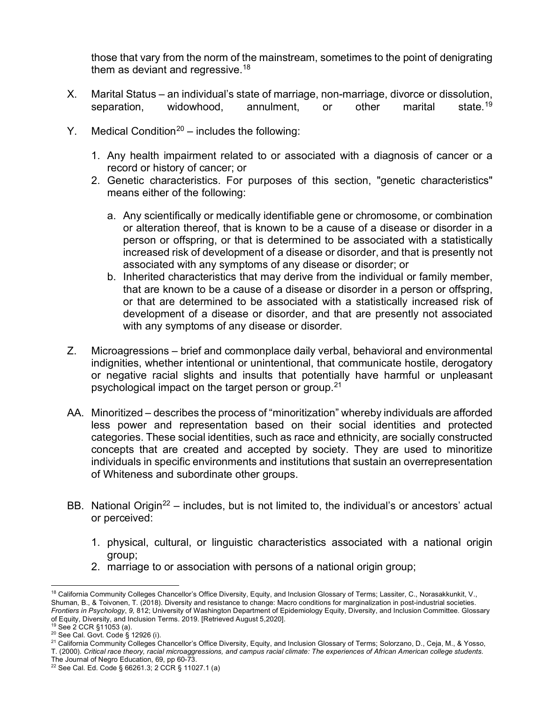them as deviant and regressive. $^{\rm 18}$ those that vary from the norm of the mainstream, sometimes to the point of denigrating

- X. Marital Status an individual's state of marriage, non-marriage, divorce or dissolution, separation, widowhood, annulment, or other marital state.<sup>[19](#page-5-1)</sup>
- Y. Medical Condition<sup>[20](#page-5-2)</sup> includes the following:
	- 1. Any health impairment related to or associated with a diagnosis of cancer or a record or history of cancer; or
	- 2. Genetic characteristics. For purposes of this section, "genetic characteristics" means either of the following:
		- a. Any scientifically or medically identifiable gene or chromosome, or combination or alteration thereof, that is known to be a cause of a disease or disorder in a person or offspring, or that is determined to be associated with a statistically increased risk of development of a disease or disorder, and that is presently not associated with any symptoms of any disease or disorder; or
		- b. Inherited characteristics that may derive from the individual or family member, or that are determined to be associated with a statistically increased risk of with any symptoms of any disease or disorder. that are known to be a cause of a disease or disorder in a person or offspring, development of a disease or disorder, and that are presently not associated
- Z. Microagressions brief and commonplace daily verbal, behavioral and environmental indignities, whether intentional or unintentional, that communicate hostile, derogatory or negative racial slights and insults that potentially have harmful or unpleasant psychological impact on the target person or group.[21](#page-5-3)
- AA. Minoritized describes the process of "minoritization" whereby individuals are afforded less power and representation based on their social identities and protected categories. These social identities, such as race and ethnicity, are socially constructed concepts that are created and accepted by society. They are used to minoritize individuals in specific environments and institutions that sustain an overrepresentation of Whiteness and subordinate other groups.
- BB. National Origin<sup>22</sup> includes, but is not limited to, the individual's or ancestors' actual or perceived:
	- 1. physical, cultural, or linguistic characteristics associated with a national origin group;
	- 2. marriage to or association with persons of a national origin group;

<span id="page-5-0"></span> $^{18}$  California Community Colleges Chancellor's Office Diversity, Equity, and Inclusion Glossary of Terms; Lassiter, C., Norasakkunkit, V., Shuman, B., & Toivonen, T. (2018). Diversity and resistance to change: Macro conditions for marginalization in post-industrial societies. *Frontiers in Psychology*, *9,* 812; University of Washington Department of Epidemiology Equity, Diversity, and Inclusion Committee. Glossary of Equity, Diversity, and Inclusion Terms. 2019. [Retrieved August 5,2020].<br><sup>19</sup> See 2 CCR §11053 (a).

<span id="page-5-3"></span>

<span id="page-5-2"></span><span id="page-5-1"></span><sup>&</sup>lt;sup>19</sup> See 2 CCR §11053 (a).<br><sup>20</sup> See Cal. Govt. Code § 12926 (i).<br><sup>21</sup> California Community Colleges Chancellor's Office Diversity, Equity, and Inclusion Glossary of Terms; Solorzano, D., Ceja, M., & Yosso, T. (2000). *Critical race theory, racial microaggressions, and campus racial climate: The experiences of African American college students.* 

 The Journal of Negro Education, 69, pp 60-73.

<span id="page-5-4"></span><sup>22</sup> See Cal. Ed. Code § 66261.3; 2 CCR § 11027.1 (a)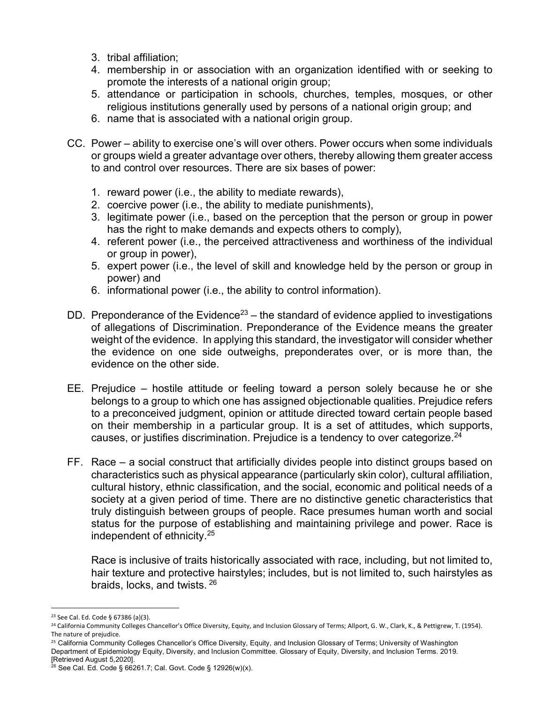- 3. tribal affiliation;
- 4. membership in or association with an organization identified with or seeking to promote the interests of a national origin group;
- 5. attendance or participation in schools, churches, temples, mosques, or other religious institutions generally used by persons of a national origin group; and
- 6. name that is associated with a national origin group.
- CC. Power ability to exercise one's will over others. Power occurs when some individuals or groups wield a greater advantage over others, thereby allowing them greater access to and control over resources. There are six bases of power:
	- 1. reward power (i.e., the ability to mediate rewards),
	- 2. coercive power (i.e., the ability to mediate punishments),
	- 3. legitimate power (i.e., based on the perception that the person or group in power has the right to make demands and expects others to comply),
	- 4. referent power (i.e., the perceived attractiveness and worthiness of the individual or group in power),
	- 5. expert power (i.e., the level of skill and knowledge held by the person or group in power) and
	- 6. informational power (i.e., the ability to control information).
- DD. Preponderance of the Evidence<sup>[23](#page-6-0)</sup> the standard of evidence applied to investigations of allegations of Discrimination. Preponderance of the Evidence means the greater weight of the evidence. In applying this standard, the investigator will consider whether the evidence on one side outweighs, preponderates over, or is more than, the evidence on the other side.
- EE. Prejudice hostile attitude or feeling toward a person solely because he or she belongs to a group to which one has assigned objectionable qualities. Prejudice refers to a preconceived judgment, opinion or attitude directed toward certain people based on their membership in a particular group. It is a set of attitudes, which supports, causes, or justifies discrimination. Prejudice is a tendency to over categorize.<sup>24</sup>
- FF. Race a social construct that artificially divides people into distinct groups based on society at a given period of time. There are no distinctive genetic characteristics that truly distinguish between groups of people. Race presumes human worth and social characteristics such as physical appearance (particularly skin color), cultural affiliation, cultural history, ethnic classification, and the social, economic and political needs of a status for the purpose of establishing and maintaining privilege and power. Race is independent of ethnicity[.25](#page-6-2)

 hair texture and protective hairstyles; includes, but is not limited to, such hairstyles as Race is inclusive of traits historically associated with race, including, but not limited to, braids, locks, and twists. [26](#page-6-3)

<span id="page-6-0"></span><sup>23</sup> See Cal. Ed. Code § 67386 (a)(3).

<span id="page-6-1"></span><sup>&</sup>lt;sup>24</sup> California Community Colleges Chancellor's Office Diversity, Equity, and Inclusion Glossary of Terms; Allport, G. W., Clark, K., & Pettigrew, T. (1954).<br>The nature of preiudice.

<span id="page-6-2"></span> [Retrieved August 5,2020]. <sup>25</sup> California Community Colleges Chancellor's Office Diversity, Equity, and Inclusion Glossary of Terms; University of Washington Department of Epidemiology Equity, Diversity, and Inclusion Committee. Glossary of Equity, Diversity, and Inclusion Terms. 2019.

<span id="page-6-3"></span> $26$  See Cal. Ed. Code § 66261.7; Cal. Govt. Code § 12926(w)(x).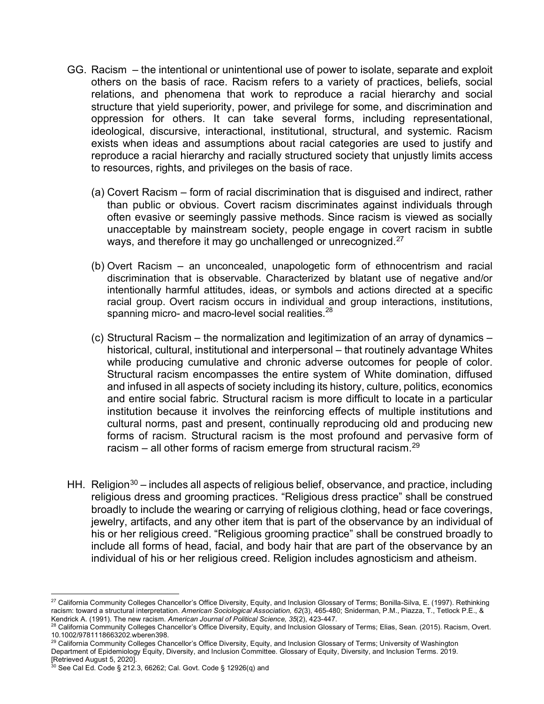- GG. Racism the intentional or unintentional use of power to isolate, separate and exploit others on the basis of race. Racism refers to a variety of practices, beliefs, social relations, and phenomena that work to reproduce a racial hierarchy and social structure that yield superiority, power, and privilege for some, and discrimination and oppression for others. It can take several forms, including representational, ideological, discursive, interactional, institutional, structural, and systemic. Racism exists when ideas and assumptions about racial categories are used to justify and reproduce a racial hierarchy and racially structured society that unjustly limits access to resources, rights, and privileges on the basis of race.
	- (a) Covert Racism form of racial discrimination that is disguised and indirect, rather than public or obvious. Covert racism discriminates against individuals through often evasive or seemingly passive methods. Since racism is viewed as socially unacceptable by mainstream society, people engage in covert racism in subtle ways, and therefore it may go unchallenged or unrecognized.<sup>27</sup>
	- discrimination that is observable. Characterized by blatant use of negative and/or racial group. Overt racism occurs in individual and group interactions, institutions, (b) Overt Racism – an unconcealed, unapologetic form of ethnocentrism and racial intentionally harmful attitudes, ideas, or symbols and actions directed at a specific spanning micro- and macro-level social realities.<sup>28</sup>
	- racism all other forms of racism emerge from structural racism.<sup>29</sup> (c) Structural Racism – the normalization and legitimization of an array of dynamics – historical, cultural, institutional and interpersonal – that routinely advantage Whites while producing cumulative and chronic adverse outcomes for people of color. Structural racism encompasses the entire system of White domination, diffused and infused in all aspects of society including its history, culture, politics, economics and entire social fabric. Structural racism is more difficult to locate in a particular institution because it involves the reinforcing effects of multiple institutions and cultural norms, past and present, continually reproducing old and producing new forms of racism. Structural racism is the most profound and pervasive form of
- HH. Religion<sup>[30](#page-7-3)</sup> includes all aspects of religious belief, observance, and practice, including religious dress and grooming practices. "Religious dress practice" shall be construed broadly to include the wearing or carrying of religious clothing, head or face coverings, jewelry, artifacts, and any other item that is part of the observance by an individual of his or her religious creed. "Religious grooming practice" shall be construed broadly to include all forms of head, facial, and body hair that are part of the observance by an individual of his or her religious creed. Religion includes agnosticism and atheism.

<span id="page-7-0"></span> $^{27}$  California Community Colleges Chancellor's Office Diversity, Equity, and Inclusion Glossary of Terms; Bonilla-Silva, E. (1997). Rethinking Kendrick A. (1991). The new racism. American Journal of Political Science, 35(2), 423-447. racism: toward a structural interpretation. *American Sociological Association, 62*(3), 465-480; Sniderman, P.M., Piazza, T., Tetlock P.E., &

<span id="page-7-1"></span>Kendrick A. (1991). The new racism. *American Journal of Political Science, 35*(2), 423-447.<br><sup>28</sup> California Community Colleges Chancellor's Office Diversity, Equity, and Inclusion Glossary of Terms; Elias, Sean. (2015). R 10.1002/9781118663202.wberen398.

<span id="page-7-2"></span> Department of Epidemiology Equity, Diversity, and Inclusion Committee. Glossary of Equity, Diversity, and Inclusion Terms. 2019. [Retrieved August 5, 2020].  $^{29}$  California Community Colleges Chancellor's Office Diversity, Equity, and Inclusion Glossary of Terms; University of Washington

<span id="page-7-3"></span> $^{30}$  See Cal Ed. Code § 212.3, 66262; Cal. Govt. Code § 12926(q) and